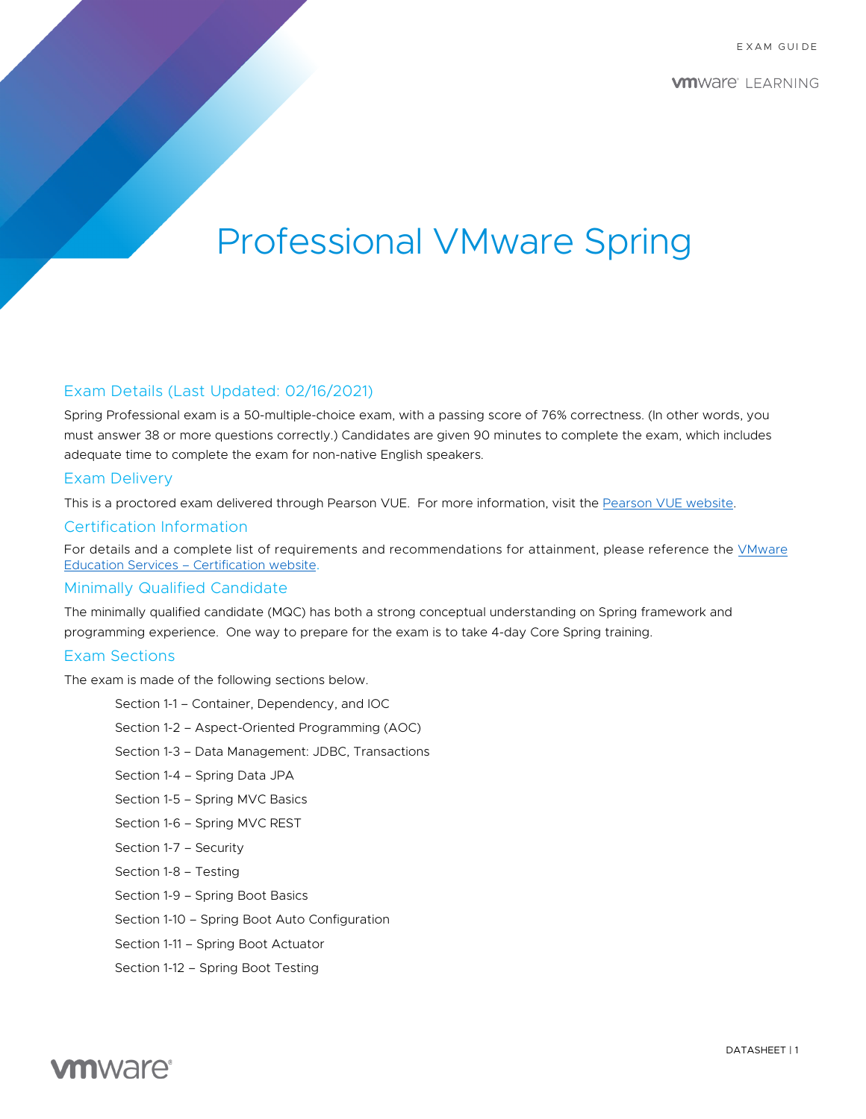# Professional VMware Spring

# Exam Details (Last Updated: 02/16/2021)

Spring Professional exam is a 50-multiple-choice exam, with a passing score of 76% correctness. (In other words, you must answer 38 or more questions correctly.) Candidates are given 90 minutes to complete the exam, which includes adequate time to complete the exam for non-native English speakers.

# Exam Delivery

This is a proctored exam delivered through Pearson VUE. For more information, visit the [Pearson VUE website.](https://www.pearsonvue.com/) 

# Certification Information

For details and a complete list of requirements and recommendations for attainment, please reference the [VMware](https://www.vmware.com/education-services/certification.html) [Education Services – Certification website](https://www.vmware.com/education-services/certification.html).

### Minimally Qualified Candidate

The minimally qualified candidate (MQC) has both a strong conceptual understanding on Spring framework and programming experience. One way to prepare for the exam is to take 4-day Core Spring training.

# Exam Sections

The exam is made of the following sections below.

Section 1-1 – Container, Dependency, and IOC Section 1-2 – Aspect-Oriented Programming (AOC) Section 1-3 – Data Management: JDBC, Transactions Section 1-4 – Spring Data JPA Section 1-5 – Spring MVC Basics Section 1-6 – Spring MVC REST Section 1-7 – Security Section 1-8 – Testing Section 1-9 – Spring Boot Basics Section 1-10 – Spring Boot Auto Configuration Section 1-11 – Spring Boot Actuator Section 1-12 – Spring Boot Testing

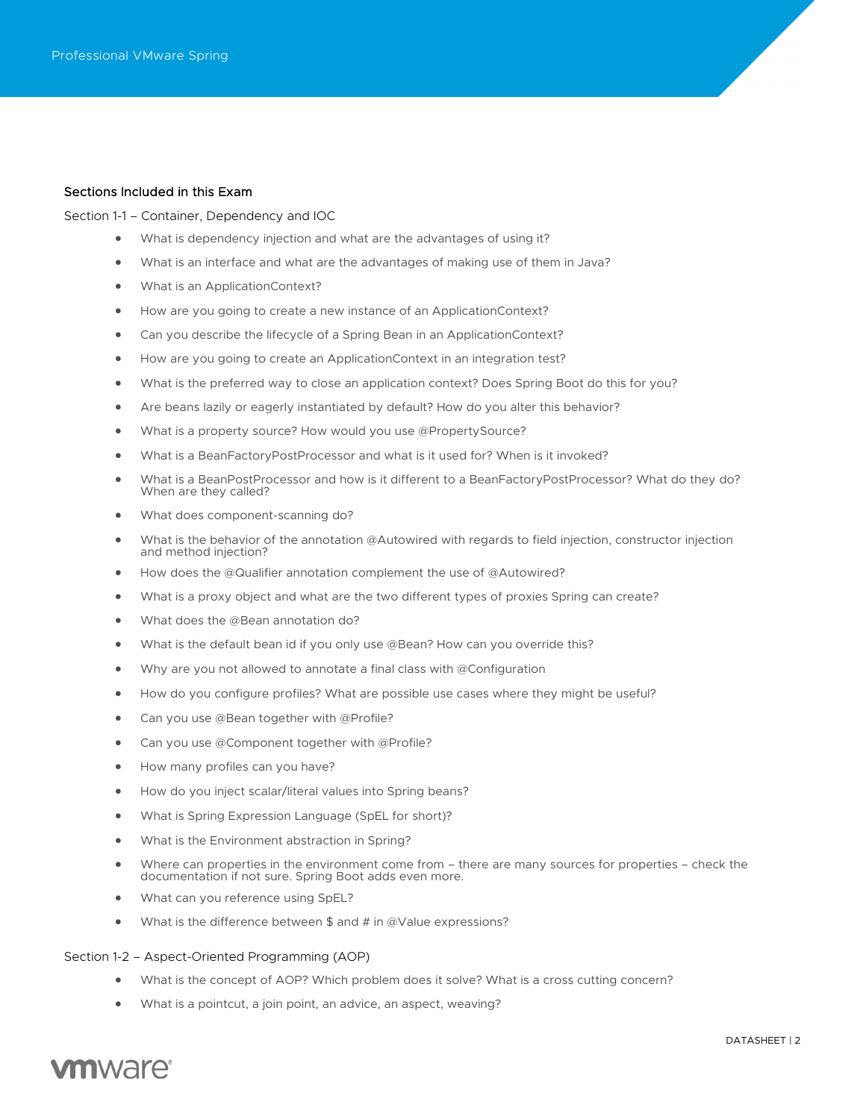### Sections Included in this Exam

Section 1-1 – Container, Dependency and IOC

- What is dependency injection and what are the advantages of using it?
- What is an interface and what are the advantages of making use of them in Java?
- What is an ApplicationContext?
- How are you going to create a new instance of an ApplicationContext?
- Can you describe the lifecycle of a Spring Bean in an ApplicationContext?
- How are you going to create an ApplicationContext in an integration test?
- What is the preferred way to close an application context? Does Spring Boot do this for you?
- Are beans lazily or eagerly instantiated by default? How do you alter this behavior?
- What is a property source? How would you use @PropertySource?
- What is a BeanFactoryPostProcessor and what is it used for? When is it invoked?
- What is a BeanPostProcessor and how is it different to a BeanFactoryPostProcessor? What do they do? When are they called?
- What does component-scanning do?
- What is the behavior of the annotation @Autowired with regards to field injection, constructor injection and method injection?
- How does the @Qualifier annotation complement the use of @Autowired?
- What is a proxy object and what are the two different types of proxies Spring can create?
- What does the @Bean annotation do?
- What is the default bean id if you only use @Bean? How can you override this?
- Why are you not allowed to annotate a final class with @Configuration
- How do you configure profiles? What are possible use cases where they might be useful?
- Can you use @Bean together with @Profile?
- Can you use @Component together with @Profile?
- How many profiles can you have?
- How do you inject scalar/literal values into Spring beans?
- What is Spring Expression Language (SpEL for short)?
- What is the Environment abstraction in Spring?
- Where can properties in the environment come from there are many sources for properties check the documentation if not sure. Spring Boot adds even more.
- What can you reference using SpEL?
- What is the difference between \$ and # in @Value expressions?

#### Section 1-2 – Aspect-Oriented Programming (AOP)

- What is the concept of AOP? Which problem does it solve? What is a cross cutting concern?
- What is a pointcut, a join point, an advice, an aspect, weaving?

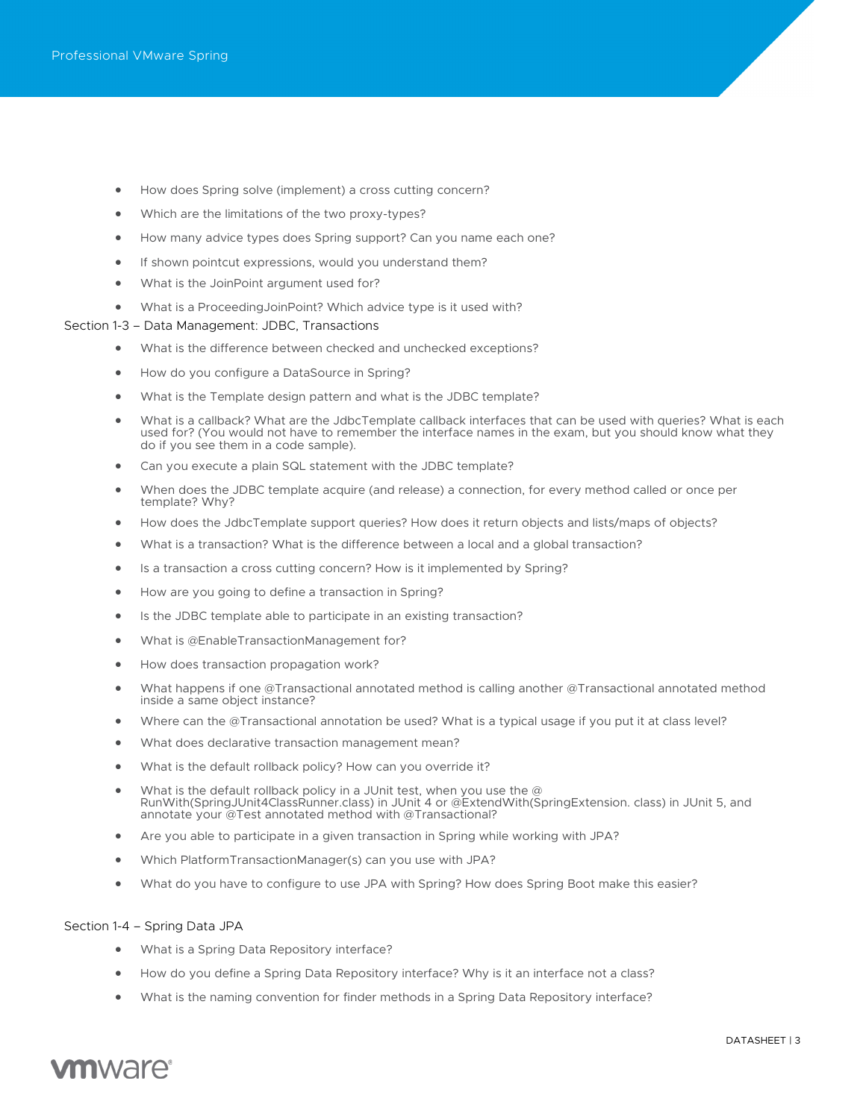- How does Spring solve (implement) a cross cutting concern?
- Which are the limitations of the two proxy-types?
- How many advice types does Spring support? Can you name each one?
- If shown pointcut expressions, would you understand them?
- What is the JoinPoint argument used for?
- What is a ProceedingJoinPoint? Which advice type is it used with?

#### Section 1-3 – Data Management: JDBC, Transactions

- What is the difference between checked and unchecked exceptions?
- How do you configure a DataSource in Spring?
- What is the Template design pattern and what is the JDBC template?
- What is a callback? What are the JdbcTemplate callback interfaces that can be used with queries? What is each used for? (You would not have to remember the interface names in the exam, but you should know what they do if you see them in a code sample).
- Can you execute a plain SQL statement with the JDBC template?
- When does the JDBC template acquire (and release) a connection, for every method called or once per template? Why?
- How does the JdbcTemplate support queries? How does it return objects and lists/maps of objects?
- What is a transaction? What is the difference between a local and a global transaction?
- Is a transaction a cross cutting concern? How is it implemented by Spring?
- How are you going to define a transaction in Spring?
- Is the JDBC template able to participate in an existing transaction?
- What is @EnableTransactionManagement for?
- How does transaction propagation work?
- What happens if one @Transactional annotated method is calling another @Transactional annotated method inside a same object instance?
- Where can the @Transactional annotation be used? What is a typical usage if you put it at class level?
- What does declarative transaction management mean?
- What is the default rollback policy? How can you override it?
- What is the default rollback policy in a JUnit test, when you use the @ RunWith(SpringJUnit4ClassRunner.class) in JUnit 4 or @ExtendWith(SpringExtension. class) in JUnit 5, and annotate your @Test annotated method with @Transactional?
- Are you able to participate in a given transaction in Spring while working with JPA?
- Which PlatformTransactionManager(s) can you use with JPA?
- What do you have to configure to use JPA with Spring? How does Spring Boot make this easier?

#### Section 1-4 – Spring Data JPA

- What is a Spring Data Repository interface?
- How do you define a Spring Data Repository interface? Why is it an interface not a class?
- What is the naming convention for finder methods in a Spring Data Repository interface?

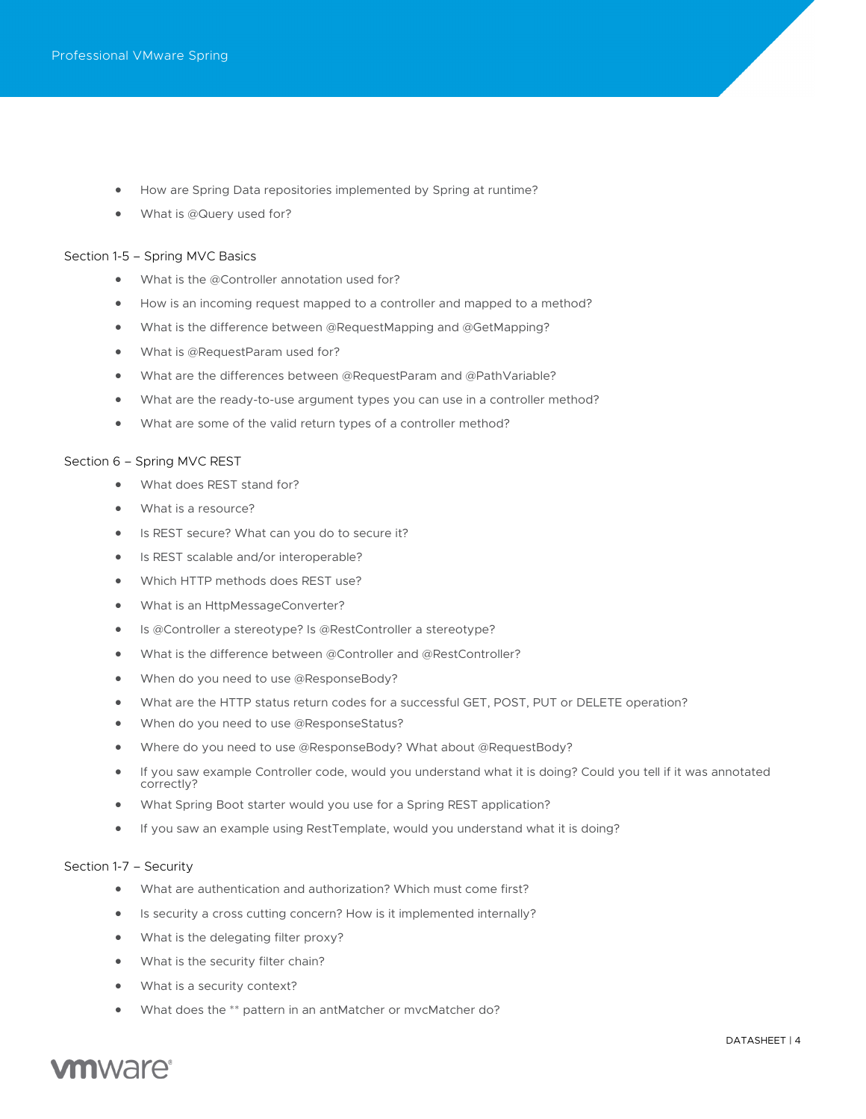- How are Spring Data repositories implemented by Spring at runtime?
- What is @Query used for?

#### Section 1-5 – Spring MVC Basics

- What is the @Controller annotation used for?
- How is an incoming request mapped to a controller and mapped to a method?
- What is the difference between @RequestMapping and @GetMapping?
- What is @RequestParam used for?
- What are the differences between @RequestParam and @PathVariable?
- What are the ready-to-use argument types you can use in a controller method?
- What are some of the valid return types of a controller method?

#### Section 6 – Spring MVC REST

- What does REST stand for?
- What is a resource?
- Is REST secure? What can you do to secure it?
- Is REST scalable and/or interoperable?
- Which HTTP methods does REST use?
- What is an HttpMessageConverter?
- Is @Controller a stereotype? Is @RestController a stereotype?
- What is the difference between @Controller and @RestController?
- When do you need to use @ResponseBody?
- What are the HTTP status return codes for a successful GET, POST, PUT or DELETE operation?
- When do you need to use @ResponseStatus?
- Where do you need to use @ResponseBody? What about @RequestBody?
- If you saw example Controller code, would you understand what it is doing? Could you tell if it was annotated correctly?
- What Spring Boot starter would you use for a Spring REST application?
- If you saw an example using RestTemplate, would you understand what it is doing?

#### Section 1-7 – Security

- What are authentication and authorization? Which must come first?
- Is security a cross cutting concern? How is it implemented internally?
- What is the delegating filter proxy?
- What is the security filter chain?
- What is a security context?
- What does the \*\* pattern in an antMatcher or mvcMatcher do?

# **vm**ware<sup>®</sup>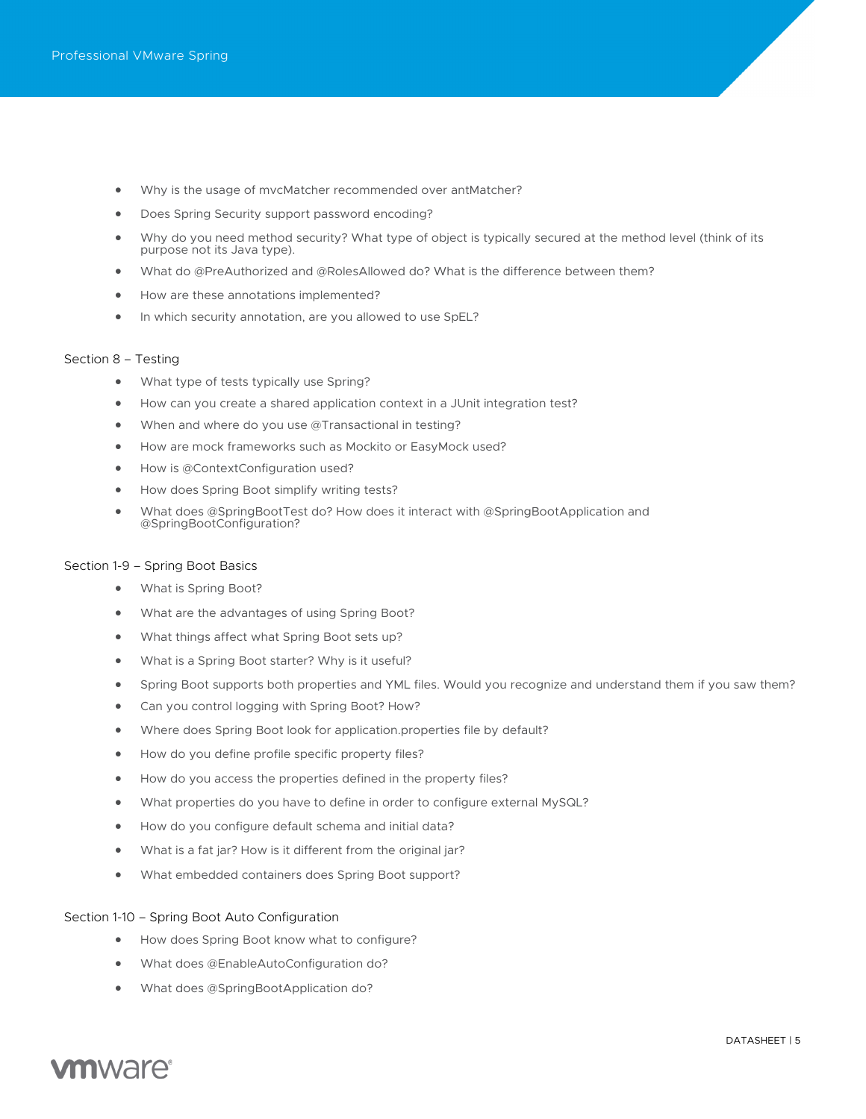- Why is the usage of mvcMatcher recommended over antMatcher?
- Does Spring Security support password encoding?
- Why do you need method security? What type of object is typically secured at the method level (think of its purpose not its Java type).
- What do @PreAuthorized and @RolesAllowed do? What is the difference between them?
- How are these annotations implemented?
- In which security annotation, are you allowed to use SpEL?

#### Section 8 – Testing

- What type of tests typically use Spring?
- How can you create a shared application context in a JUnit integration test?
- When and where do you use @Transactional in testing?
- How are mock frameworks such as Mockito or EasyMock used?
- How is @ContextConfiguration used?
- How does Spring Boot simplify writing tests?
- What does @SpringBootTest do? How does it interact with @SpringBootApplication and @SpringBootConfiguration?

#### Section 1-9 – Spring Boot Basics

- What is Spring Boot?
- What are the advantages of using Spring Boot?
- What things affect what Spring Boot sets up?
- What is a Spring Boot starter? Why is it useful?
- Spring Boot supports both properties and YML files. Would you recognize and understand them if you saw them?
- Can you control logging with Spring Boot? How?
- Where does Spring Boot look for application.properties file by default?
- How do you define profile specific property files?
- How do you access the properties defined in the property files?
- What properties do you have to define in order to configure external MySQL?
- How do you configure default schema and initial data?
- What is a fat jar? How is it different from the original jar?
- What embedded containers does Spring Boot support?

#### Section 1-10 – Spring Boot Auto Configuration

- How does Spring Boot know what to configure?
- What does @EnableAutoConfiguration do?
- What does @SpringBootApplication do?

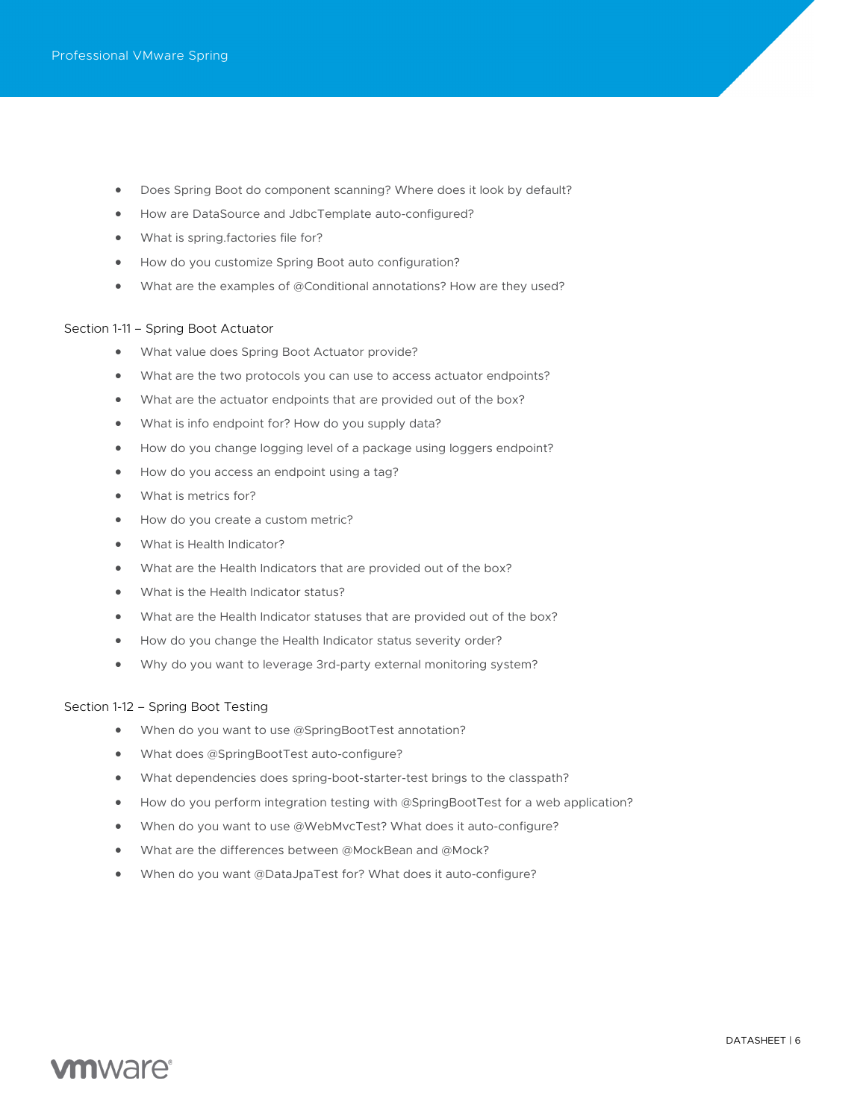- Does Spring Boot do component scanning? Where does it look by default?
- How are DataSource and JdbcTemplate auto-configured?
- What is spring.factories file for?
- How do you customize Spring Boot auto configuration?
- What are the examples of @Conditional annotations? How are they used?

#### Section 1-11 – Spring Boot Actuator

- What value does Spring Boot Actuator provide?
- What are the two protocols you can use to access actuator endpoints?
- What are the actuator endpoints that are provided out of the box?
- What is info endpoint for? How do you supply data?
- How do you change logging level of a package using loggers endpoint?
- How do you access an endpoint using a tag?
- What is metrics for?
- How do you create a custom metric?
- What is Health Indicator?
- What are the Health Indicators that are provided out of the box?
- What is the Health Indicator status?
- What are the Health Indicator statuses that are provided out of the box?
- How do you change the Health Indicator status severity order?
- Why do you want to leverage 3rd-party external monitoring system?

#### Section 1-12 – Spring Boot Testing

- When do you want to use @SpringBootTest annotation?
- What does @SpringBootTest auto-configure?
- What dependencies does spring-boot-starter-test brings to the classpath?
- How do you perform integration testing with @SpringBootTest for a web application?
- When do you want to use @WebMvcTest? What does it auto-configure?
- What are the differences between @MockBean and @Mock?
- When do you want @DataJpaTest for? What does it auto-configure?

# **vm**ware<sup>®</sup>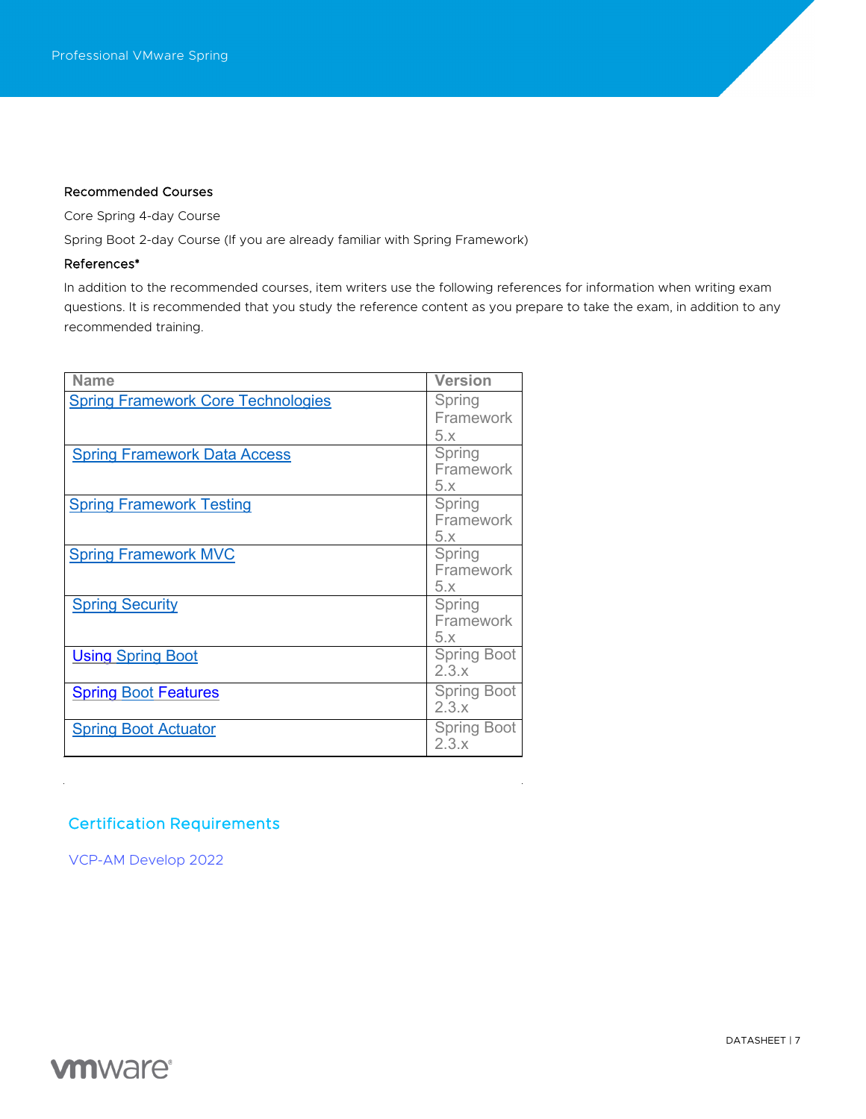# Recommended Courses

Core Spring 4-day Course

Spring Boot 2-day Course (If you are already familiar with Spring Framework)

# References\*

In addition to the recommended courses, item writers use the following references for information when writing exam questions. It is recommended that you study the reference content as you prepare to take the exam, in addition to any recommended training.

| <b>Name</b>                               | <b>Version</b>              |
|-------------------------------------------|-----------------------------|
| <b>Spring Framework Core Technologies</b> | Spring<br>Framework<br>5.x  |
| <b>Spring Framework Data Access</b>       | Spring<br>Framework<br>5.x  |
| <b>Spring Framework Testing</b>           | Spring<br>Framework<br>5.x  |
| <b>Spring Framework MVC</b>               | Spring<br>Framework<br>5.x  |
| <b>Spring Security</b>                    | Spring<br>Framework<br>5.x  |
| <b>Using Spring Boot</b>                  | <b>Spring Boot</b><br>2.3.x |
| <b>Spring Boot Features</b>               | <b>Spring Boot</b><br>2.3.x |
| <b>Spring Boot Actuator</b>               | <b>Spring Boot</b><br>2.3.x |

# Certification Requirements

[VCP-AM Develop 2022](https://www.vmware.com/education-services/certification/vcp-am-dev-exam.html)